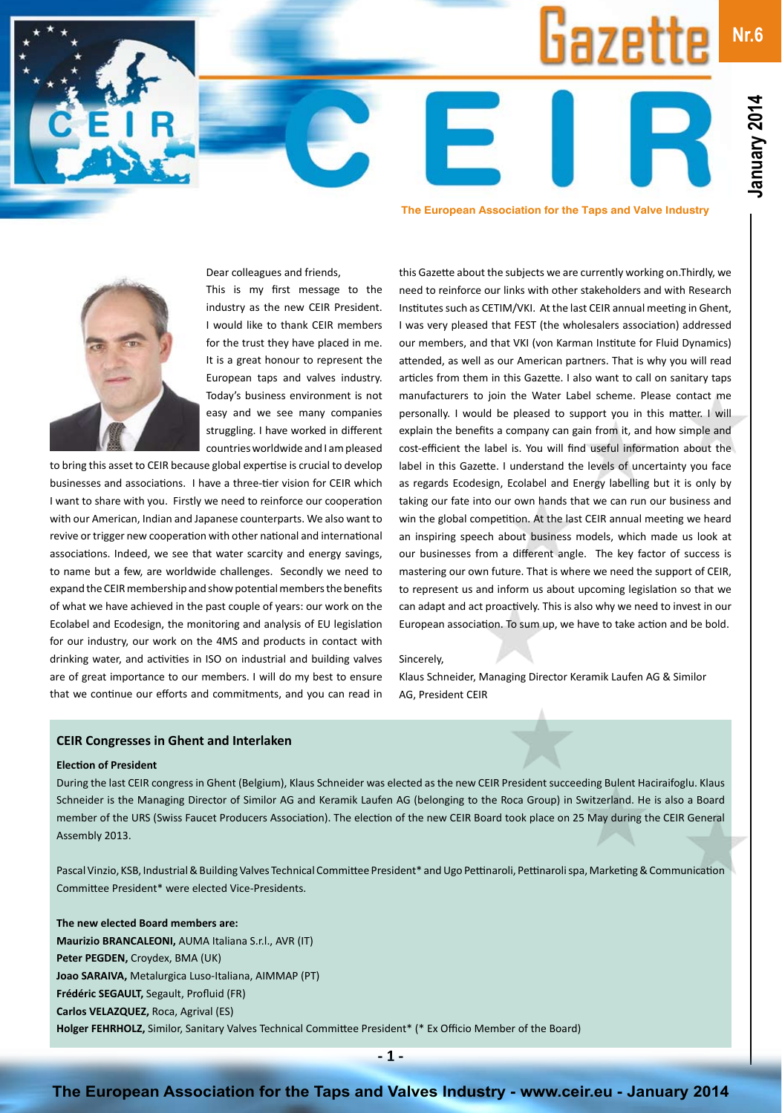**Nr.6**



# **The European Association for the Taps and Valve Industry**

Liazettı

Dear colleagues and friends,

This is my first message to the industry as the new CEIR President. I would like to thank CEIR members for the trust they have placed in me. It is a great honour to represent the European taps and valves industry. Today's business environment is not easy and we see many companies struggling. I have worked in different countries worldwide and I am pleased

to bring this asset to CEIR because global expertise is crucial to develop businesses and associations. I have a three-tier vision for CEIR which I want to share with you. Firstly we need to reinforce our cooperation with our American, Indian and Japanese counterparts. We also want to revive or trigger new cooperation with other national and international associations. Indeed, we see that water scarcity and energy savings, to name but a few, are worldwide challenges. Secondly we need to expand the CEIR membership and show potential members the benefits of what we have achieved in the past couple of years: our work on the Ecolabel and Ecodesign, the monitoring and analysis of EU legislation for our industry, our work on the 4MS and products in contact with drinking water, and activities in ISO on industrial and building valves are of great importance to our members. I will do my best to ensure that we continue our efforts and commitments, and you can read in

this Gazette about the subjects we are currently working on.Thirdly, we need to reinforce our links with other stakeholders and with Research Institutes such as CETIM/VKI. At the last CEIR annual meeting in Ghent, I was very pleased that FEST (the wholesalers association) addressed our members, and that VKI (von Karman Institute for Fluid Dynamics) attended, as well as our American partners. That is why you will read articles from them in this Gazette. I also want to call on sanitary taps manufacturers to join the Water Label scheme. Please contact me personally. I would be pleased to support you in this matter. I will explain the benefits a company can gain from it, and how simple and cost-efficient the label is. You will find useful information about the label in this Gazette. I understand the levels of uncertainty you face as regards Ecodesign, Ecolabel and Energy labelling but it is only by taking our fate into our own hands that we can run our business and win the global competition. At the last CEIR annual meeting we heard an inspiring speech about business models, which made us look at our businesses from a different angle. The key factor of success is mastering our own future. That is where we need the support of CEIR, to represent us and inform us about upcoming legislation so that we can adapt and act proactively. This is also why we need to invest in our European association. To sum up, we have to take action and be bold.

#### Sincerely,

Klaus Schneider, Managing Director Keramik Laufen AG & Similor AG, President CEIR

#### **CEIR Congresses in Ghent and Interlaken**

#### **Election of President**

During the last CEIR congress in Ghent (Belgium), Klaus Schneider was elected as the new CEIR President succeeding Bulent Haciraifoglu. Klaus Schneider is the Managing Director of Similor AG and Keramik Laufen AG (belonging to the Roca Group) in Switzerland. He is also a Board member of the URS (Swiss Faucet Producers Association). The election of the new CEIR Board took place on 25 May during the CEIR General Assembly 2013.

Pascal Vinzio, KSB, Industrial & Building Valves Technical Committee President\* and Ugo Pettinaroli, Pettinaroli spa, Marketing & Communication Committee President\* were elected Vice-Presidents.

**The new elected Board members are: Maurizio BRANCALEONI,** AUMA Italiana S.r.l., AVR (IT) **Peter PEGDEN,** Croydex, BMA (UK) **Joao SARAIVA,** Metalurgica Luso-Italiana, AIMMAP (PT) **Frédéric SEGAULT,** Segault, Profluid (FR) **Carlos VELAZQUEZ,** Roca, Agrival (ES) **Holger FEHRHOLZ,** Similor, Sanitary Valves Technical Committee President\* (\* Ex Officio Member of the Board)

**- 1 -**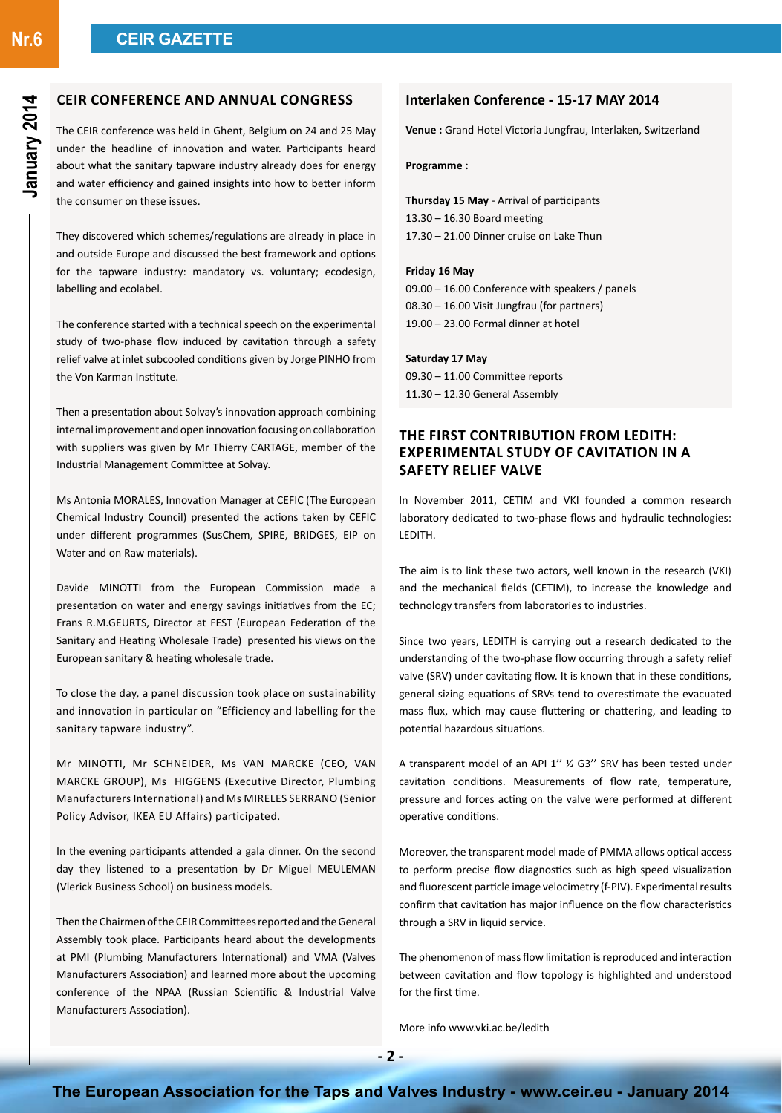**Nr.6**

## **CEIR Conference and Annual Congress**

The CEIR conference was held in Ghent, Belgium on 24 and 25 May under the headline of innovation and water. Participants heard about what the sanitary tapware industry already does for energy and water efficiency and gained insights into how to better inform the consumer on these issues.

They discovered which schemes/regulations are already in place in and outside Europe and discussed the best framework and options for the tapware industry: mandatory vs. voluntary; ecodesign, labelling and ecolabel.

The conference started with a technical speech on the experimental study of two-phase flow induced by cavitation through a safety relief valve at inlet subcooled conditions given by Jorge PINHO from the Von Karman Institute.

Then a presentation about Solvay's innovation approach combining internal improvement and open innovation focusing on collaboration with suppliers was given by Mr Thierry CARTAGE, member of the Industrial Management Committee at Solvay.

Ms Antonia MORALES, Innovation Manager at CEFIC (The European Chemical Industry Council) presented the actions taken by CEFIC under different programmes (SusChem, SPIRE, BRIDGES, EIP on Water and on Raw materials).

Davide MINOTTI from the European Commission made a presentation on water and energy savings initiatives from the EC; Frans R.M.GEURTS, Director at FEST (European Federation of the Sanitary and Heating Wholesale Trade) presented his views on the European sanitary & heating wholesale trade.

To close the day, a panel discussion took place on sustainability and innovation in particular on "Efficiency and labelling for the sanitary tapware industry".

Mr MINOTTI, Mr SCHNEIDER, Ms VAN MARCKE (CEO, VAN MARCKE GROUP), Ms HIGGENS (Executive Director, Plumbing Manufacturers International) and Ms MIRELES SERRANO (Senior Policy Advisor, IKEA EU Affairs) participated.

In the evening participants attended a gala dinner. On the second day they listened to a presentation by Dr Miguel MEULEMAN (Vlerick Business School) on business models.

Then the Chairmen of the CEIR Committees reported and the General Assembly took place. Participants heard about the developments at PMI (Plumbing Manufacturers International) and VMA (Valves Manufacturers Association) and learned more about the upcoming conference of the NPAA (Russian Scientific & Industrial Valve Manufacturers Association).

### **Interlaken Conference - 15-17 MAY 2014**

**Venue :** Grand Hotel Victoria Jungfrau, Interlaken, Switzerland

**Programme :**

**Thursday 15 May** - Arrival of participants 13.30 – 16.30 Board meeting 17.30 – 21.00 Dinner cruise on Lake Thun

#### **Friday 16 May**

09.00 – 16.00 Conference with speakers / panels 08.30 – 16.00 Visit Jungfrau (for partners) 19.00 – 23.00 Formal dinner at hotel

#### **Saturday 17 May**

09.30 – 11.00 Committee reports 11.30 – 12.30 General Assembly

# **The first contribution from LEDITH: Experimental study of cavitation in a Safety Relief Valve**

In November 2011, CETIM and VKI founded a common research laboratory dedicated to two-phase flows and hydraulic technologies: LEDITH.

The aim is to link these two actors, well known in the research (VKI) and the mechanical fields (CETIM), to increase the knowledge and technology transfers from laboratories to industries.

Since two years, LEDITH is carrying out a research dedicated to the understanding of the two-phase flow occurring through a safety relief valve (SRV) under cavitating flow. It is known that in these conditions, general sizing equations of SRVs tend to overestimate the evacuated mass flux, which may cause fluttering or chattering, and leading to potential hazardous situations.

A transparent model of an API 1'' ½ G3'' SRV has been tested under cavitation conditions. Measurements of flow rate, temperature, pressure and forces acting on the valve were performed at different operative conditions.

Moreover, the transparent model made of PMMA allows optical access to perform precise flow diagnostics such as high speed visualization and fluorescent particle image velocimetry (f-PIV). Experimental results confirm that cavitation has major influence on the flow characteristics through a SRV in liquid service.

The phenomenon of mass flow limitation is reproduced and interaction between cavitation and flow topology is highlighted and understood for the first time.

More info www.vki.ac.be/ledith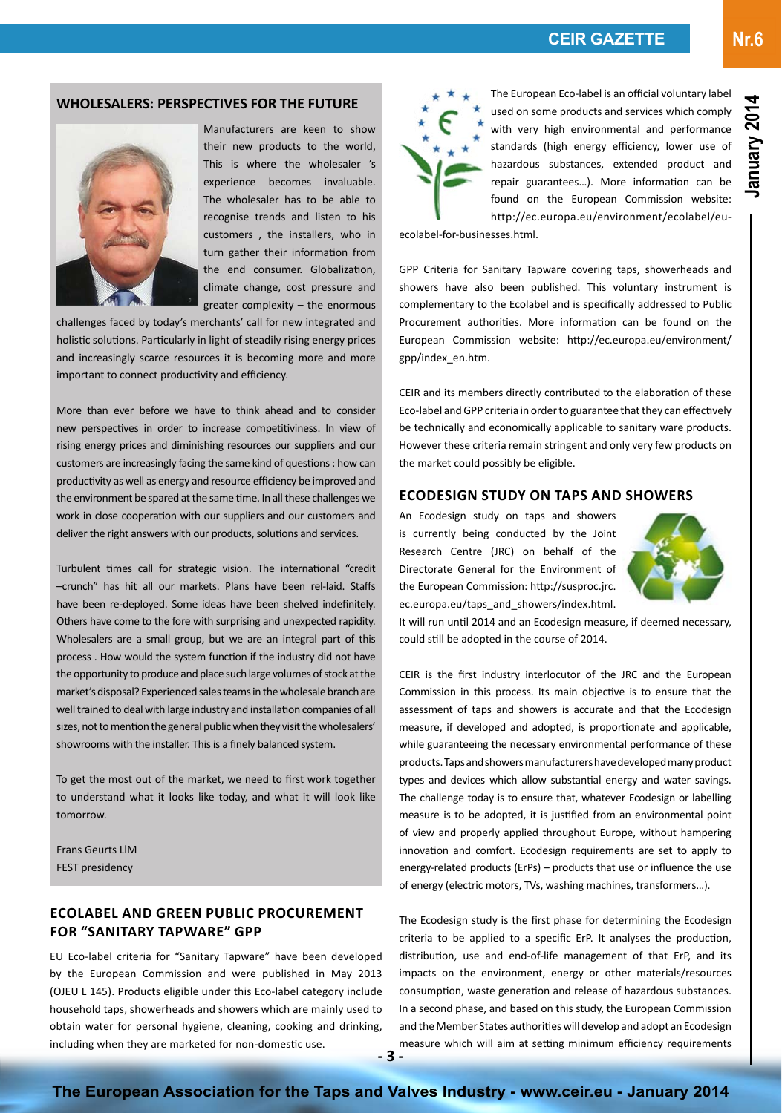#### **WHOLESALERS: PERSPECTIVES FOR THE FUTURE**



Manufacturers are keen to show their new products to the world, This is where the wholesaler 's experience becomes invaluable. The wholesaler has to be able to recognise trends and listen to his customers , the installers, who in turn gather their information from the end consumer. Globalization, climate change, cost pressure and greater complexity – the enormous

challenges faced by today's merchants' call for new integrated and holistic solutions. Particularly in light of steadily rising energy prices and increasingly scarce resources it is becoming more and more important to connect productivity and efficiency.

More than ever before we have to think ahead and to consider new perspectives in order to increase competitiviness. In view of rising energy prices and diminishing resources our suppliers and our customers are increasingly facing the same kind of questions : how can productivity as well as energy and resource efficiency be improved and the environment be spared at the same time. In all these challenges we work in close cooperation with our suppliers and our customers and deliver the right answers with our products, solutions and services.

Turbulent times call for strategic vision. The international "credit –crunch" has hit all our markets. Plans have been rel-laid. Staffs have been re-deployed. Some ideas have been shelved indefinitely. Others have come to the fore with surprising and unexpected rapidity. Wholesalers are a small group, but we are an integral part of this process . How would the system function if the industry did not have the opportunity to produce and place such large volumes of stock at the market's disposal? Experienced sales teams in the wholesale branch are well trained to deal with large industry and installation companies of all sizes, not to mention the general public when they visit the wholesalers' showrooms with the installer. This is a finely balanced system.

To get the most out of the market, we need to first work together to understand what it looks like today, and what it will look like tomorrow.

Frans Geurts LlM FEST presidency

# **Ecolabel and Green Public Procurement for "Sanitary Tapware" GPP**

EU Eco-label criteria for "Sanitary Tapware" have been developed by the European Commission and were published in May 2013 (OJEU L 145). Products eligible under this Eco-label category include household taps, showerheads and showers which are mainly used to obtain water for personal hygiene, cleaning, cooking and drinking, including when they are marketed for non-domestic use.



The European Eco-label is an official voluntary label used on some products and services which comply with very high environmental and performance standards (high energy efficiency, lower use of hazardous substances, extended product and repair guarantees…). More information can be found on the European Commission website: http://ec.europa.eu/environment/ecolabel/eu-

ecolabel-for-businesses.html.

GPP Criteria for Sanitary Tapware covering taps, showerheads and showers have also been published. This voluntary instrument is complementary to the Ecolabel and is specifically addressed to Public Procurement authorities. More information can be found on the European Commission website: http://ec.europa.eu/environment/ gpp/index\_en.htm.

CEIR and its members directly contributed to the elaboration of these Eco-label and GPP criteria in order to guarantee that they can effectively be technically and economically applicable to sanitary ware products. However these criteria remain stringent and only very few products on the market could possibly be eligible.

### **Ecodesign study on taps and showers**

An Ecodesign study on taps and showers is currently being conducted by the Joint Research Centre (JRC) on behalf of the Directorate General for the Environment of the European Commission: http://susproc.jrc. ec.europa.eu/taps\_and\_showers/index.html.



It will run until 2014 and an Ecodesign measure, if deemed necessary, could still be adopted in the course of 2014.

CEIR is the first industry interlocutor of the JRC and the European Commission in this process. Its main objective is to ensure that the assessment of taps and showers is accurate and that the Ecodesign measure, if developed and adopted, is proportionate and applicable, while guaranteeing the necessary environmental performance of these products. Taps and showers manufacturers have developed many product types and devices which allow substantial energy and water savings. The challenge today is to ensure that, whatever Ecodesign or labelling measure is to be adopted, it is justified from an environmental point of view and properly applied throughout Europe, without hampering innovation and comfort. Ecodesign requirements are set to apply to energy-related products (ErPs) – products that use or influence the use of energy (electric motors, TVs, washing machines, transformers…).

**- 3 -** The Ecodesign study is the first phase for determining the Ecodesign criteria to be applied to a specific ErP. It analyses the production, distribution, use and end-of-life management of that ErP, and its impacts on the environment, energy or other materials/resources consumption, waste generation and release of hazardous substances. In a second phase, and based on this study, the European Commission and the Member States authorities will develop and adopt an Ecodesign measure which will aim at setting minimum efficiency requirements

**Nr.6**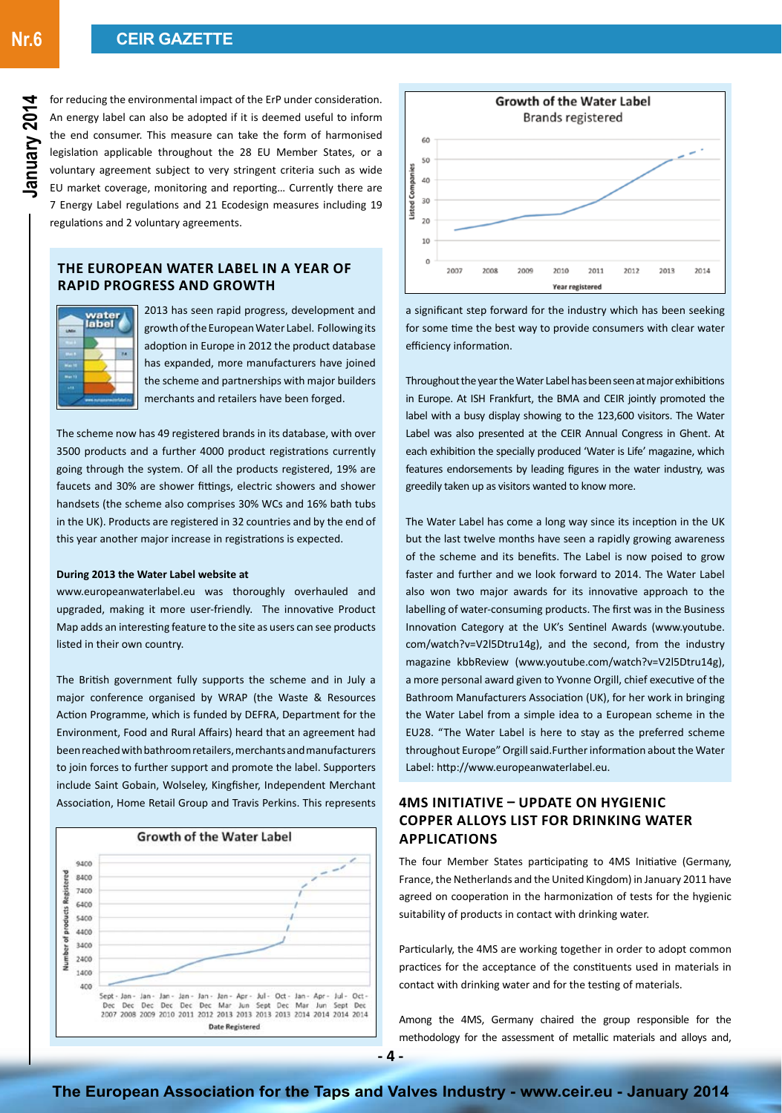for reducing the environmental impact of the ErP under consideration. An energy label can also be adopted if it is deemed useful to inform the end consumer. This measure can take the form of harmonised legislation applicable throughout the 28 EU Member States, or a voluntary agreement subject to very stringent criteria such as wide EU market coverage, monitoring and reporting… Currently there are 7 Energy Label regulations and 21 Ecodesign measures including 19 regulations and 2 voluntary agreements.

# **The European Water Label in a year of rapid progress and growth**



2013 has seen rapid progress, development and growth of the European Water Label. Following its adoption in Europe in 2012 the product database has expanded, more manufacturers have joined the scheme and partnerships with major builders merchants and retailers have been forged.

The scheme now has 49 registered brands in its database, with over 3500 products and a further 4000 product registrations currently going through the system. Of all the products registered, 19% are faucets and 30% are shower fittings, electric showers and shower handsets (the scheme also comprises 30% WCs and 16% bath tubs in the UK). Products are registered in 32 countries and by the end of this year another major increase in registrations is expected.

#### **During 2013 the Water Label website at**

www.europeanwaterlabel.eu was thoroughly overhauled and upgraded, making it more user-friendly. The innovative Product Map adds an interesting feature to the site as users can see products listed in their own country.

The British government fully supports the scheme and in July a major conference organised by WRAP (the Waste & Resources Action Programme, which is funded by DEFRA, Department for the Environment, Food and Rural Affairs) heard that an agreement had been reached with bathroom retailers, merchants and manufacturers to join forces to further support and promote the label. Supporters include Saint Gobain, Wolseley, Kingfisher, Independent Merchant Association, Home Retail Group and Travis Perkins. This represents





a significant step forward for the industry which has been seeking for some time the best way to provide consumers with clear water efficiency information.

Throughout the year the Water Label has been seen at major exhibitions in Europe. At ISH Frankfurt, the BMA and CEIR jointly promoted the label with a busy display showing to the 123,600 visitors. The Water Label was also presented at the CEIR Annual Congress in Ghent. At each exhibition the specially produced 'Water is Life' magazine, which features endorsements by leading figures in the water industry, was greedily taken up as visitors wanted to know more.

The Water Label has come a long way since its inception in the UK but the last twelve months have seen a rapidly growing awareness of the scheme and its benefits. The Label is now poised to grow faster and further and we look forward to 2014. The Water Label also won two major awards for its innovative approach to the labelling of water-consuming products. The first was in the Business Innovation Category at the UK's Sentinel Awards (www.youtube. com/watch?v=V2l5Dtru14g), and the second, from the industry magazine kbbReview (www.youtube.com/watch?v=V2l5Dtru14g), a more personal award given to Yvonne Orgill, chief executive of the Bathroom Manufacturers Association (UK), for her work in bringing the Water Label from a simple idea to a European scheme in the EU28. "The Water Label is here to stay as the preferred scheme throughout Europe" Orgill said.Further information about the Water Label: http://www.europeanwaterlabel.eu.

# **4MS Initiative – Update on Hygienic Copper Alloys List for Drinking Water Applications**

The four Member States participating to 4MS Initiative (Germany, France, the Netherlands and the United Kingdom) in January 2011 have agreed on cooperation in the harmonization of tests for the hygienic suitability of products in contact with drinking water.

Particularly, the 4MS are working together in order to adopt common practices for the acceptance of the constituents used in materials in contact with drinking water and for the testing of materials.

Among the 4MS, Germany chaired the group responsible for the methodology for the assessment of metallic materials and alloys and,

**January 2014**

January 201

**- 4 -**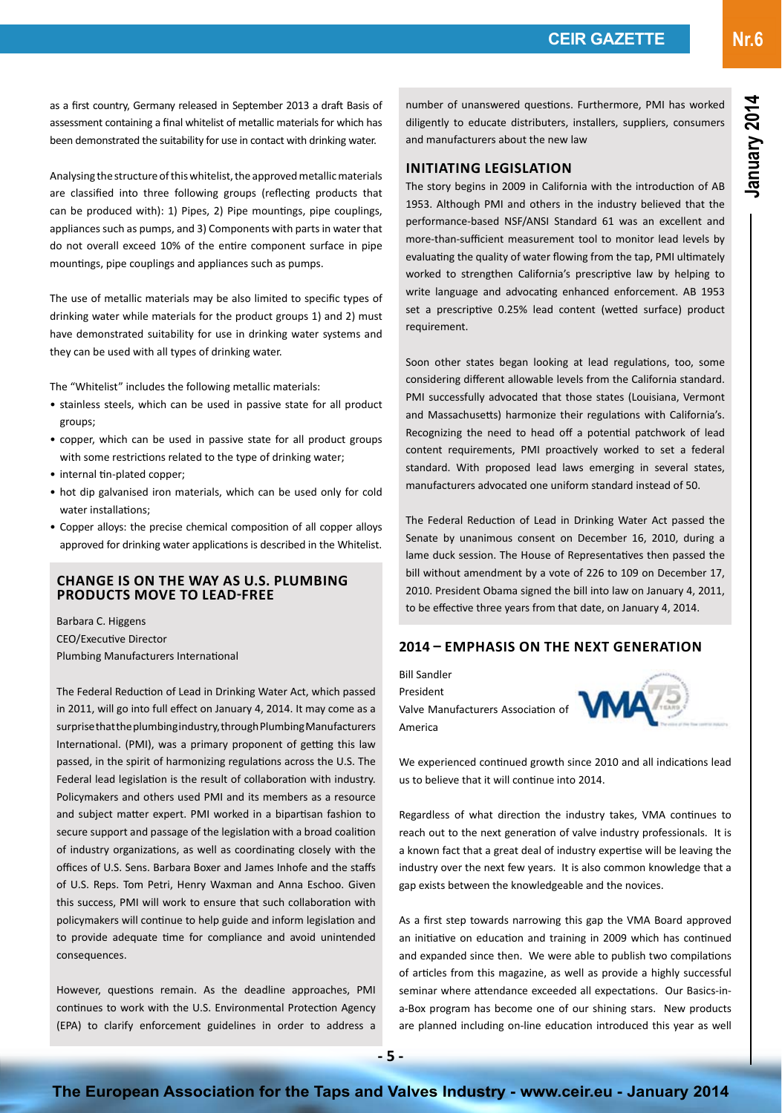as a first country, Germany released in September 2013 a draft Basis of assessment containing a final whitelist of metallic materials for which has been demonstrated the suitability for use in contact with drinking water.

Analysing the structure of this whitelist, the approved metallic materials are classified into three following groups (reflecting products that can be produced with): 1) Pipes, 2) Pipe mountings, pipe couplings, appliances such as pumps, and 3) Components with parts in water that do not overall exceed 10% of the entire component surface in pipe mountings, pipe couplings and appliances such as pumps.

The use of metallic materials may be also limited to specific types of drinking water while materials for the product groups 1) and 2) must have demonstrated suitability for use in drinking water systems and they can be used with all types of drinking water.

The "Whitelist" includes the following metallic materials:

- stainless steels, which can be used in passive state for all product groups;
- copper, which can be used in passive state for all product groups with some restrictions related to the type of drinking water;
- internal tin-plated copper;
- hot dip galvanised iron materials, which can be used only for cold water installations;
- Copper alloys: the precise chemical composition of all copper alloys approved for drinking water applications is described in the Whitelist.

### **Change is On The Way as U.S. Plumbing Products Move To Lead-Free**

Barbara C. Higgens CEO/Executive Director Plumbing Manufacturers International

The Federal Reduction of Lead in Drinking Water Act, which passed in 2011, will go into full effect on January 4, 2014. It may come as a surprise that the plumbing industry, through Plumbing Manufacturers International. (PMI), was a primary proponent of getting this law passed, in the spirit of harmonizing regulations across the U.S. The Federal lead legislation is the result of collaboration with industry. Policymakers and others used PMI and its members as a resource and subject matter expert. PMI worked in a bipartisan fashion to secure support and passage of the legislation with a broad coalition of industry organizations, as well as coordinating closely with the offices of U.S. Sens. Barbara Boxer and James Inhofe and the staffs of U.S. Reps. Tom Petri, Henry Waxman and Anna Eschoo. Given this success, PMI will work to ensure that such collaboration with policymakers will continue to help guide and inform legislation and to provide adequate time for compliance and avoid unintended consequences.

However, questions remain. As the deadline approaches, PMI continues to work with the U.S. Environmental Protection Agency (EPA) to clarify enforcement guidelines in order to address a

number of unanswered questions. Furthermore, PMI has worked diligently to educate distributers, installers, suppliers, consumers and manufacturers about the new law

### **Initiating Legislation**

The story begins in 2009 in California with the introduction of AB 1953. Although PMI and others in the industry believed that the performance-based NSF/ANSI Standard 61 was an excellent and more-than-sufficient measurement tool to monitor lead levels by evaluating the quality of water flowing from the tap, PMI ultimately worked to strengthen California's prescriptive law by helping to write language and advocating enhanced enforcement. AB 1953 set a prescriptive 0.25% lead content (wetted surface) product requirement.

Soon other states began looking at lead regulations, too, some considering different allowable levels from the California standard. PMI successfully advocated that those states (Louisiana, Vermont and Massachusetts) harmonize their regulations with California's. Recognizing the need to head off a potential patchwork of lead content requirements, PMI proactively worked to set a federal standard. With proposed lead laws emerging in several states, manufacturers advocated one uniform standard instead of 50.

The Federal Reduction of Lead in Drinking Water Act passed the Senate by unanimous consent on December 16, 2010, during a lame duck session. The House of Representatives then passed the bill without amendment by a vote of 226 to 109 on December 17, 2010. President Obama signed the bill into law on January 4, 2011, to be effective three years from that date, on January 4, 2014.

# **2014 – Emphasis on the Next Generation**

Bill Sandler President Valve Manufacturers Association of **WIM** America



We experienced continued growth since 2010 and all indications lead us to believe that it will continue into 2014.

Regardless of what direction the industry takes, VMA continues to reach out to the next generation of valve industry professionals. It is a known fact that a great deal of industry expertise will be leaving the industry over the next few years. It is also common knowledge that a gap exists between the knowledgeable and the novices.

As a first step towards narrowing this gap the VMA Board approved an initiative on education and training in 2009 which has continued and expanded since then. We were able to publish two compilations of articles from this magazine, as well as provide a highly successful seminar where attendance exceeded all expectations. Our Basics-ina-Box program has become one of our shining stars. New products are planned including on-line education introduced this year as well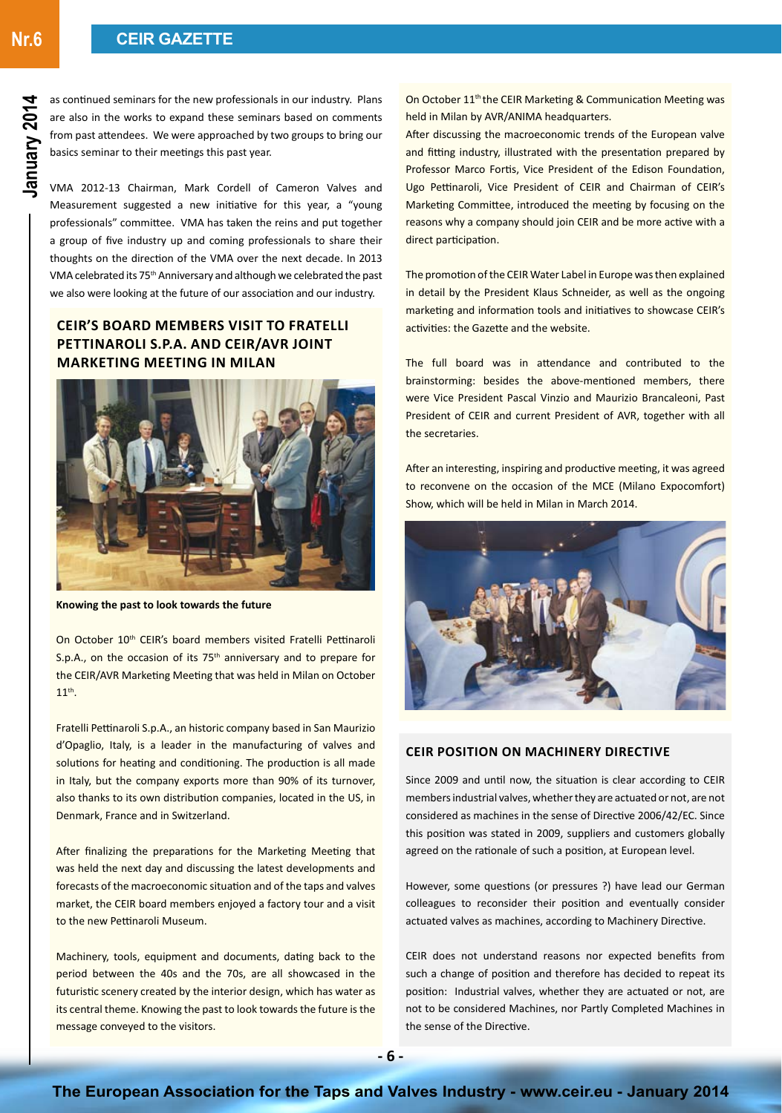**Nr.6**

as continued seminars for the new professionals in our industry. Plans are also in the works to expand these seminars based on comments from past attendees. We were approached by two groups to bring our basics seminar to their meetings this past year.

VMA 2012-13 Chairman, Mark Cordell of Cameron Valves and Measurement suggested a new initiative for this year, a "young professionals" committee. VMA has taken the reins and put together a group of five industry up and coming professionals to share their thoughts on the direction of the VMA over the next decade. In 2013 VMA celebrated its 75th Anniversary and although we celebrated the past we also were looking at the future of our association and our industry.

# **CEIR'S board members visit to Fratelli Pettinaroli S.p.A. and CEIR/AVR joint Marketing Meeting in Milan**



**Knowing the past to look towards the future**

On October 10<sup>th</sup> CEIR's board members visited Fratelli Pettinaroli S.p.A., on the occasion of its  $75<sup>th</sup>$  anniversary and to prepare for the CEIR/AVR Marketing Meeting that was held in Milan on October 11<sup>th</sup>.

Fratelli Pettinaroli S.p.A., an historic company based in San Maurizio d'Opaglio, Italy, is a leader in the manufacturing of valves and solutions for heating and conditioning. The production is all made in Italy, but the company exports more than 90% of its turnover, also thanks to its own distribution companies, located in the US, in Denmark, France and in Switzerland.

After finalizing the preparations for the Marketing Meeting that was held the next day and discussing the latest developments and forecasts of the macroeconomic situation and of the taps and valves market, the CEIR board members enjoyed a factory tour and a visit to the new Pettinaroli Museum.

Machinery, tools, equipment and documents, dating back to the period between the 40s and the 70s, are all showcased in the futuristic scenery created by the interior design, which has water as its central theme. Knowing the past to look towards the future is the message conveyed to the visitors.

On October 11<sup>th</sup> the CEIR Marketing & Communication Meeting was held in Milan by AVR/ANIMA headquarters.

After discussing the macroeconomic trends of the European valve and fitting industry, illustrated with the presentation prepared by Professor Marco Fortis, Vice President of the Edison Foundation, Ugo Pettinaroli, Vice President of CEIR and Chairman of CEIR's Marketing Committee, introduced the meeting by focusing on the reasons why a company should join CEIR and be more active with a direct participation.

The promotion of the CEIR Water Label in Europe was then explained in detail by the President Klaus Schneider, as well as the ongoing marketing and information tools and initiatives to showcase CEIR's activities: the Gazette and the website.

The full board was in attendance and contributed to the brainstorming: besides the above-mentioned members, there were Vice President Pascal Vinzio and Maurizio Brancaleoni, Past President of CEIR and current President of AVR, together with all the secretaries.

After an interesting, inspiring and productive meeting, it was agreed to reconvene on the occasion of the MCE (Milano Expocomfort) Show, which will be held in Milan in March 2014.



### **CEIR Position on Machinery Directive**

Since 2009 and until now, the situation is clear according to CEIR members industrial valves, whether they are actuated or not, are not considered as machines in the sense of Directive 2006/42/EC. Since this position was stated in 2009, suppliers and customers globally agreed on the rationale of such a position, at European level.

However, some questions (or pressures ?) have lead our German colleagues to reconsider their position and eventually consider actuated valves as machines, according to Machinery Directive.

CEIR does not understand reasons nor expected benefits from such a change of position and therefore has decided to repeat its position: Industrial valves, whether they are actuated or not, are not to be considered Machines, nor Partly Completed Machines in the sense of the Directive.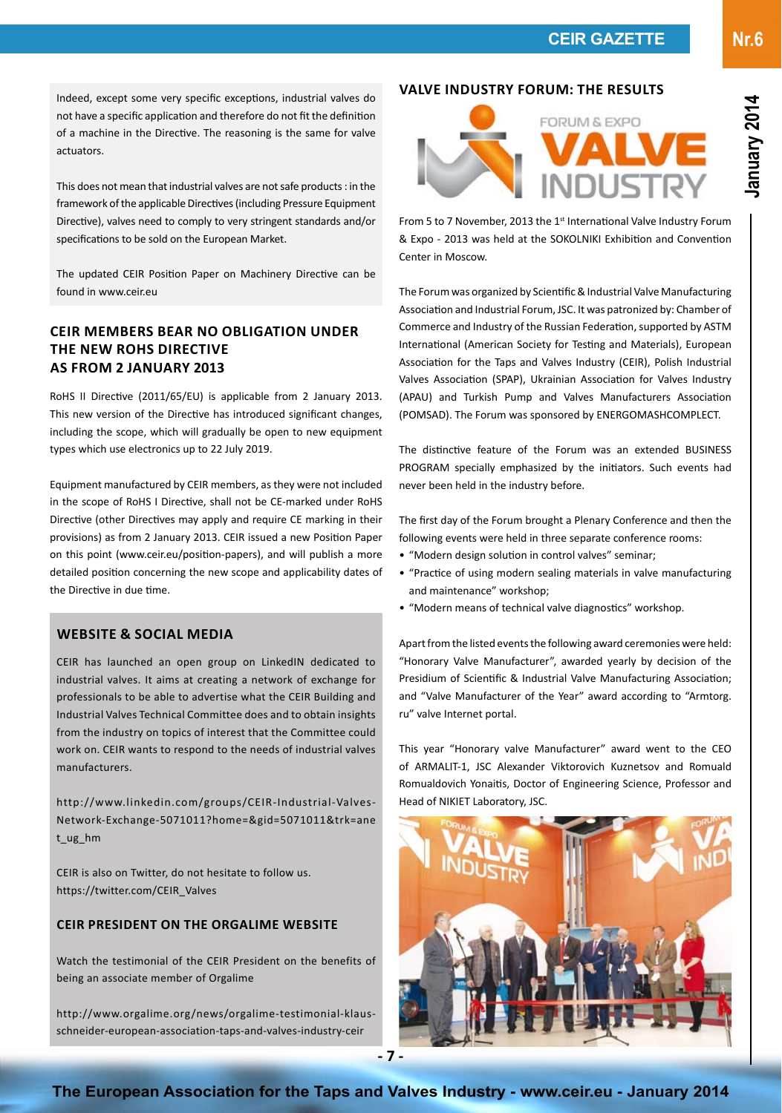Indeed, except some very specific exceptions, industrial valves do not have a specific application and therefore do not fit the definition of a machine in the Directive. The reasoning is the same for valve actuators.

This does not mean that industrial valves are not safe products : in the framework of the applicable Directives (including Pressure Equipment Directive), valves need to comply to very stringent standards and/or specifications to be sold on the European Market.

The updated CEIR Position Paper on Machinery Directive can be found in www.ceir.eu

# **CEIR Members bear no obligation under the new RoHS Directive as from 2 January 2013**

RoHS II Directive (2011/65/EU) is applicable from 2 January 2013. This new version of the Directive has introduced significant changes, including the scope, which will gradually be open to new equipment types which use electronics up to 22 July 2019.

Equipment manufactured by CEIR members, as they were not included in the scope of RoHS I Directive, shall not be CE-marked under RoHS Directive (other Directives may apply and require CE marking in their provisions) as from 2 January 2013. CEIR issued a new Position Paper on this point (www.ceir.eu/position-papers), and will publish a more detailed position concerning the new scope and applicability dates of the Directive in due time.

### **Website & social media**

CEIR has launched an open group on LinkedIN dedicated to industrial valves. It aims at creating a network of exchange for professionals to be able to advertise what the CEIR Building and Industrial Valves Technical Committee does and to obtain insights from the industry on topics of interest that the Committee could work on. CEIR wants to respond to the needs of industrial valves manufacturers.

http://www.linkedin.com/groups/CEIR-Industrial-Valves-Network-Exchange-5071011?home=&gid=5071011&trk=ane t\_ug\_hm

CEIR is also on Twitter, do not hesitate to follow us. https://twitter.com/CEIR\_Valves

### **CEIR President on the Orgalime website**

Watch the testimonial of the CEIR President on the benefits of being an associate member of Orgalime

http://www.orgalime.org/news/orgalime-testimonial-klausschneider-european-association-taps-and-valves-industry-ceir

### **VALVE INDUSTRY FORUM: THE RESULTS**



From 5 to 7 November, 2013 the 1<sup>st</sup> International Valve Industry Forum & Expo - 2013 was held at the SOKOLNIKI Exhibition and Convention Center in Moscow.

The Forum was organized by Scientific & Industrial Valve Manufacturing Association and Industrial Forum, JSC. It was patronized by: Chamber of Commerce and Industry of the Russian Federation, supported by ASTM International (American Society for Testing and Materials), European Association for the Taps and Valves Industry (CEIR), Polish Industrial Valves Association (SPAP), Ukrainian Association for Valves Industry (APAU) and Turkish Pump and Valves Manufacturers Association (POMSAD). The Forum was sponsored by ENERGOMASHCOMPLECT.

The distinctive feature of the Forum was an extended BUSINESS PROGRAM specially emphasized by the initiators. Such events had never been held in the industry before.

The first day of the Forum brought a Plenary Conference and then the following events were held in three separate conference rooms:

- "Modern design solution in control valves" seminar;
- "Practice of using modern sealing materials in valve manufacturing and maintenance" workshop;
- "Modern means of technical valve diagnostics" workshop.

Apart from the listed events the following award ceremonies were held: "Honorary Valve Manufacturer", awarded yearly by decision of the Presidium of Scientific & Industrial Valve Manufacturing Association; and "Valve Manufacturer of the Year" award according to "Armtorg. ru" valve Internet portal.

This year "Honorary valve Manufacturer" award went to the CEO of ARMALIT-1, JSC Alexander Viktorovich Kuznetsov and Romuald Romualdovich Yonaitis, Doctor of Engineering Science, Professor and Head of NIKIET Laboratory, JSC.



**Nr.6**

**The European Association for the Taps and Valves Industry - www.ceir.eu - January 2014**